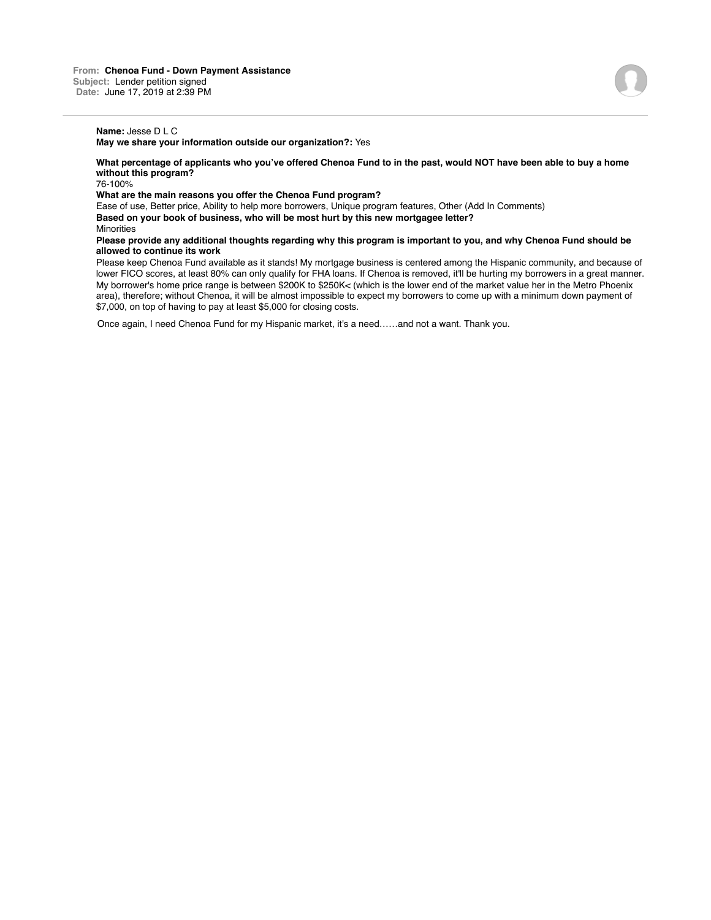# **Name:** Jesse D L C

**May we share your information outside our organization?:** Yes

**What percentage of applicants who you've offered Chenoa Fund to in the past, would NOT have been able to buy a home without this program?**

76-100%

#### **What are the main reasons you offer the Chenoa Fund program?**

Ease of use, Better price, Ability to help more borrowers, Unique program features, Other (Add In Comments) **Based on your book of business, who will be most hurt by this new mortgagee letter?** Minorities

#### **Please provide any additional thoughts regarding why this program is important to you, and why Chenoa Fund should be allowed to continue its work**

Please keep Chenoa Fund available as it stands! My mortgage business is centered among the Hispanic community, and because of lower FICO scores, at least 80% can only qualify for FHA loans. If Chenoa is removed, it'll be hurting my borrowers in a great manner. My borrower's home price range is between \$200K to \$250K< (which is the lower end of the market value her in the Metro Phoenix area), therefore; without Chenoa, it will be almost impossible to expect my borrowers to come up with a minimum down payment of \$7,000, on top of having to pay at least \$5,000 for closing costs.

Once again, I need Chenoa Fund for my Hispanic market, it's a need……and not a want. Thank you.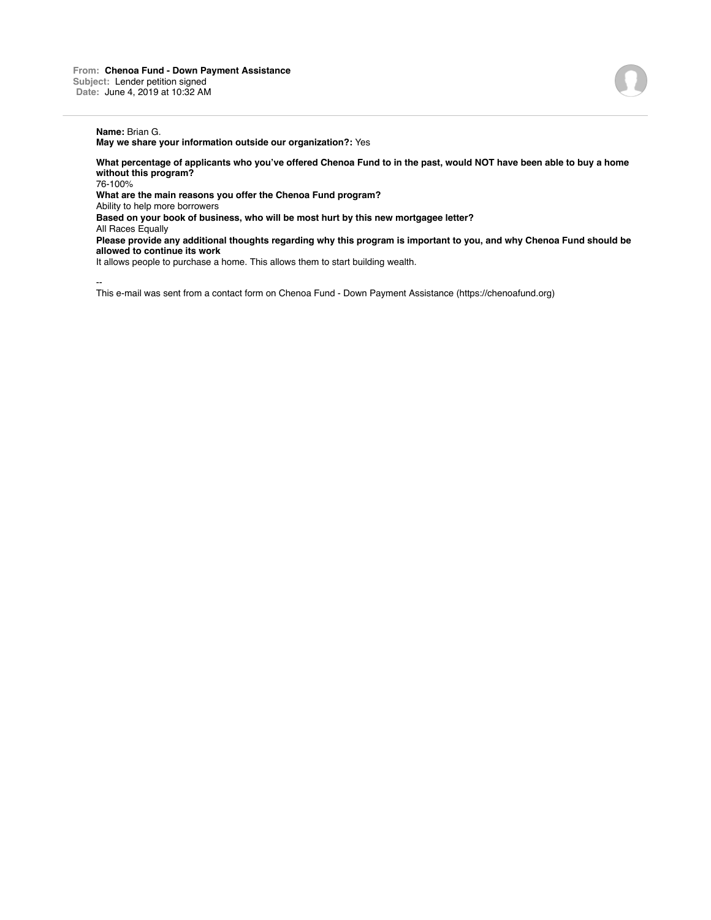# **Name:** Brian G.

**May we share your information outside our organization?:** Yes

**What percentage of applicants who you've offered Chenoa Fund to in the past, would NOT have been able to buy a home without this program?**

76-100%

**What are the main reasons you offer the Chenoa Fund program?**

Ability to help more borrowers

**Based on your book of business, who will be most hurt by this new mortgagee letter?**

All Races Equally

**Please provide any additional thoughts regarding why this program is important to you, and why Chenoa Fund should be allowed to continue its work**

It allows people to purchase a home. This allows them to start building wealth.

--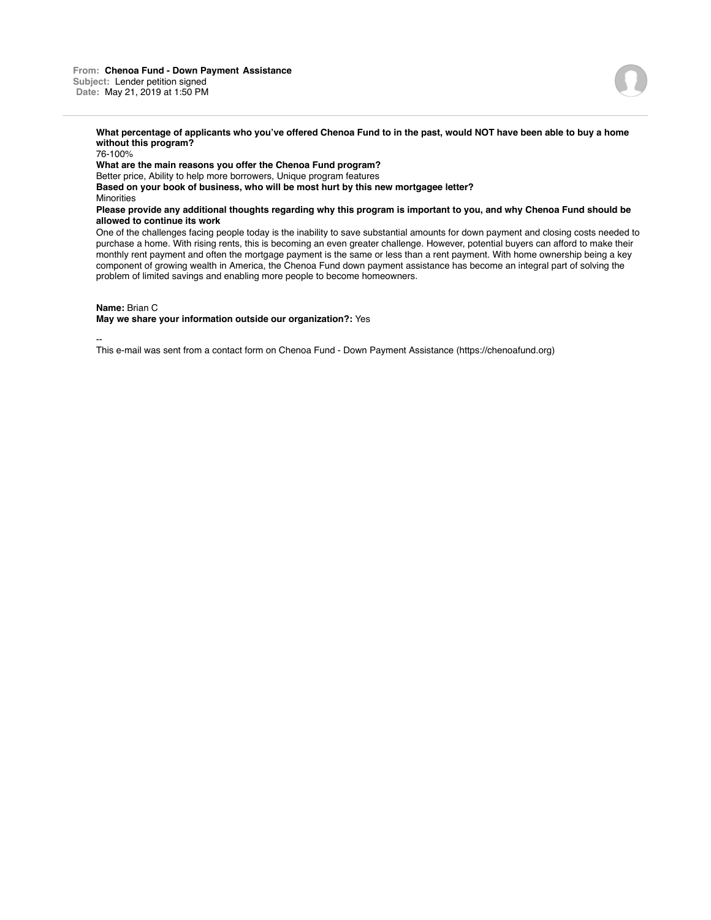

76-100% **What are the main reasons you offer the Chenoa Fund program?** Better price, Ability to help more borrowers, Unique program features **Based on your book of business, who will be most hurt by this new mortgagee letter?** Minorities **Please provide any additional thoughts regarding why this program is important to you, and why Chenoa Fund should be allowed to continue its work**

One of the challenges facing people today is the inability to save substantial amounts for down payment and closing costs needed to purchase a home. With rising rents, this is becoming an even greater challenge. However, potential buyers can afford to make their monthly rent payment and often the mortgage payment is the same or less than a rent payment. With home ownership being a key component of growing wealth in America, the Chenoa Fund down payment assistance has become an integral part of solving the problem of limited savings and enabling more people to become homeowners.

## **Name:** Brian C

**May we share your information outside our organization?:** Yes

--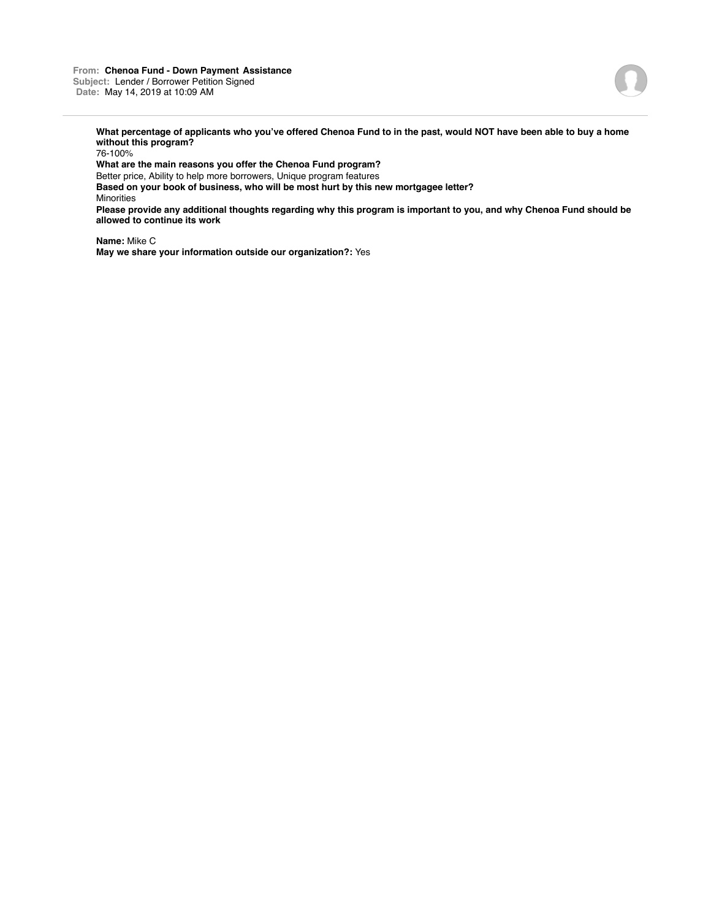

76-100%

**What are the main reasons you offer the Chenoa Fund program?**

Better price, Ability to help more borrowers, Unique program features

**Based on your book of business, who will be most hurt by this new mortgagee letter?** Minorities

**Please provide any additional thoughts regarding why this program is important to you, and why Chenoa Fund should be allowed to continue its work**

**Name:** Mike C **May we share your information outside our organization?:** Yes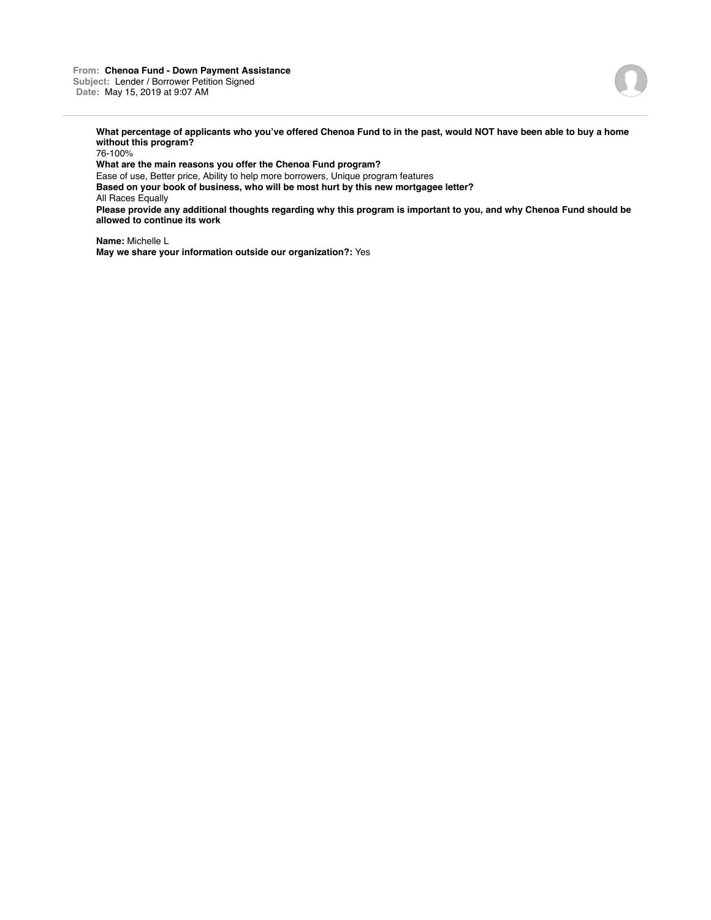

76-100%

**What are the main reasons you offer the Chenoa Fund program?**

Ease of use, Better price, Ability to help more borrowers, Unique program features **Based on your book of business, who will be most hurt by this new mortgagee letter?**

All Races Equally

**Please provide any additional thoughts regarding why this program is important to you, and why Chenoa Fund should be allowed to continue its work**

**Name:** Michelle L **May we share your information outside our organization?:** Yes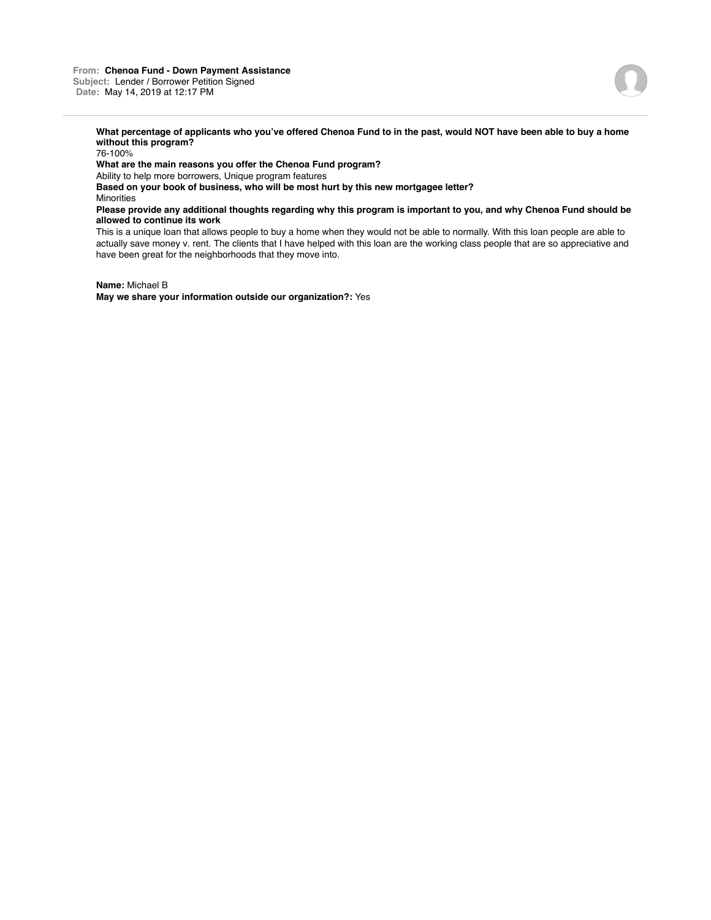

76-100%

**What are the main reasons you offer the Chenoa Fund program?**

Ability to help more borrowers, Unique program features

**Based on your book of business, who will be most hurt by this new mortgagee letter? Minorities** 

### **Please provide any additional thoughts regarding why this program is important to you, and why Chenoa Fund should be allowed to continue its work**

This is a unique loan that allows people to buy a home when they would not be able to normally. With this loan people are able to actually save money v. rent. The clients that I have helped with this loan are the working class people that are so appreciative and have been great for the neighborhoods that they move into.

**Name:** Michael B **May we share your information outside our organization?:** Yes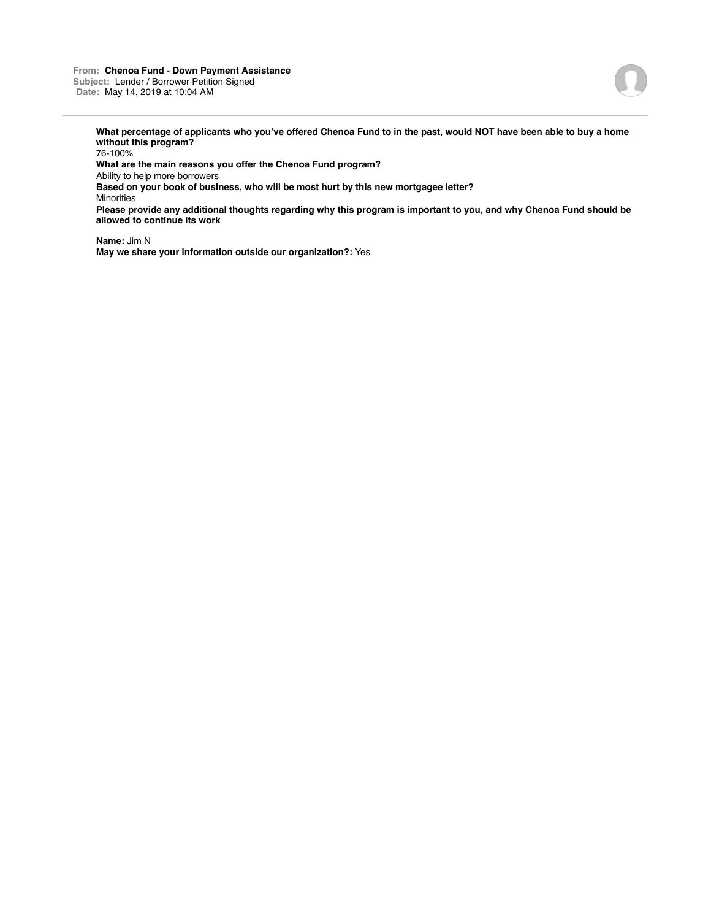#### **From: Chenoa Fund - Down Payment Assistance Subject:** Lender / Borrower Petition Signed **Date:** May 14, 2019 at 10:04 AM



**What percentage of applicants who you've offered Chenoa Fund to in the past, would NOT have been able to buy a home without this program?**

76-100%

**What are the main reasons you offer the Chenoa Fund program?**

Ability to help more borrowers

**Based on your book of business, who will be most hurt by this new mortgagee letter?**

Minorities

**Please provide any additional thoughts regarding why this program is important to you, and why Chenoa Fund should be allowed to continue its work**

**Name:** Jim N **May we share your information outside our organization?:** Yes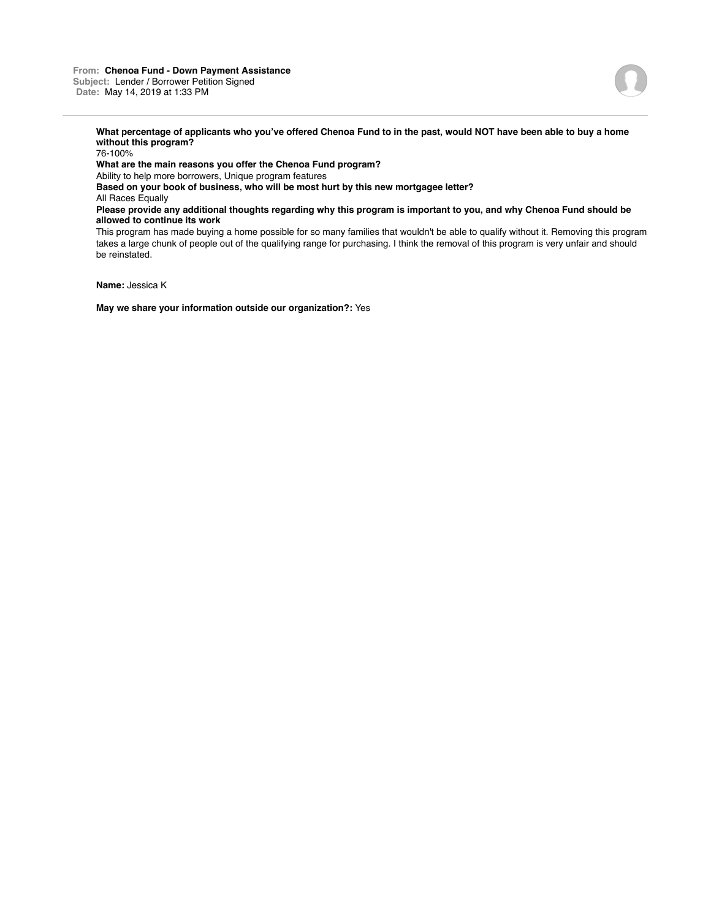

76-100%

**What are the main reasons you offer the Chenoa Fund program?**

Ability to help more borrowers, Unique program features

**Based on your book of business, who will be most hurt by this new mortgagee letter?**

All Races Equally

**Please provide any additional thoughts regarding why this program is important to you, and why Chenoa Fund should be allowed to continue its work**

This program has made buying a home possible for so many families that wouldn't be able to qualify without it. Removing this program takes a large chunk of people out of the qualifying range for purchasing. I think the removal of this program is very unfair and should be reinstated.

**Name:** Jessica K

**May we share your information outside our organization?:** Yes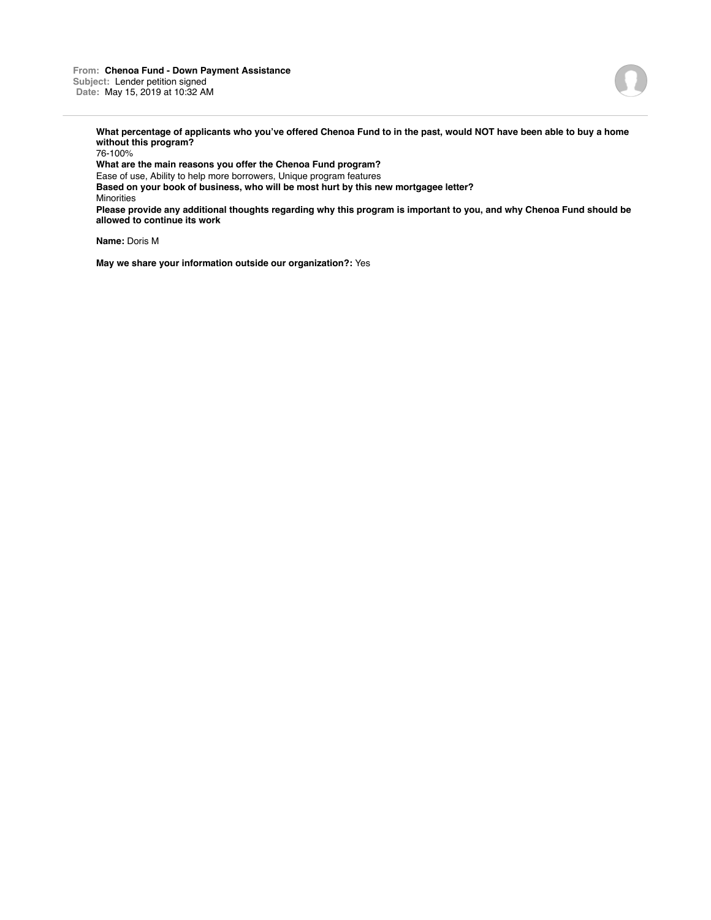**From: Chenoa Fund - Down Payment Assistance Subject:** Lender petition signed **Date:** May 15, 2019 at 10:32 AM



**What percentage of applicants who you've offered Chenoa Fund to in the past, would NOT have been able to buy a home without this program?**

76-100% **What are the main reasons you offer the Chenoa Fund program?** Ease of use, Ability to help more borrowers, Unique program features **Based on your book of business, who will be most hurt by this new mortgagee letter?** Minorities **Please provide any additional thoughts regarding why this program is important to you, and why Chenoa Fund should be allowed to continue its work**

**Name:** Doris M

**May we share your information outside our organization?:** Yes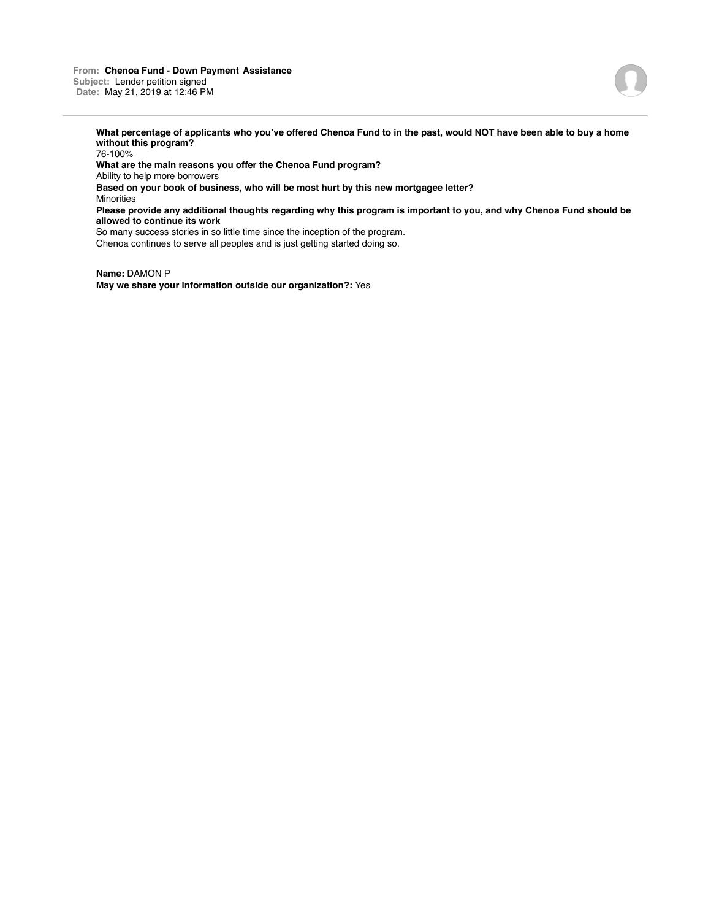**From: Chenoa Fund - Down Payment Assistance Subject:** Lender petition signed **Date:** May 21, 2019 at 12:46 PM

**What percentage of applicants who you've offered Chenoa Fund to in the past, would NOT have been able to buy a home without this program?** 76-100% **What are the main reasons you offer the Chenoa Fund program?** Ability to help more borrowers **Based on your book of business, who will be most hurt by this new mortgagee letter?** Minorities **Please provide any additional thoughts regarding why this program is important to you, and why Chenoa Fund should be allowed to continue its work** So many success stories in so little time since the inception of the program. Chenoa continues to serve all peoples and is just getting started doing so.

**Name:** DAMON P **May we share your information outside our organization?:** Yes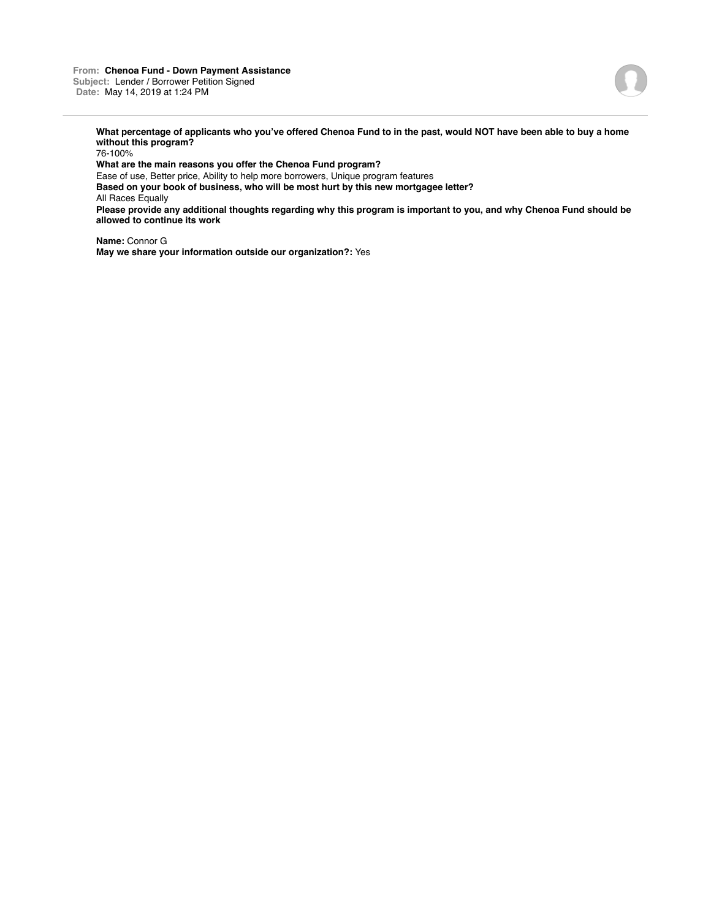

76-100%

**What are the main reasons you offer the Chenoa Fund program?**

Ease of use, Better price, Ability to help more borrowers, Unique program features

**Based on your book of business, who will be most hurt by this new mortgagee letter?** All Races Equally

**Please provide any additional thoughts regarding why this program is important to you, and why Chenoa Fund should be allowed to continue its work**

**Name:** Connor G **May we share your information outside our organization?:** Yes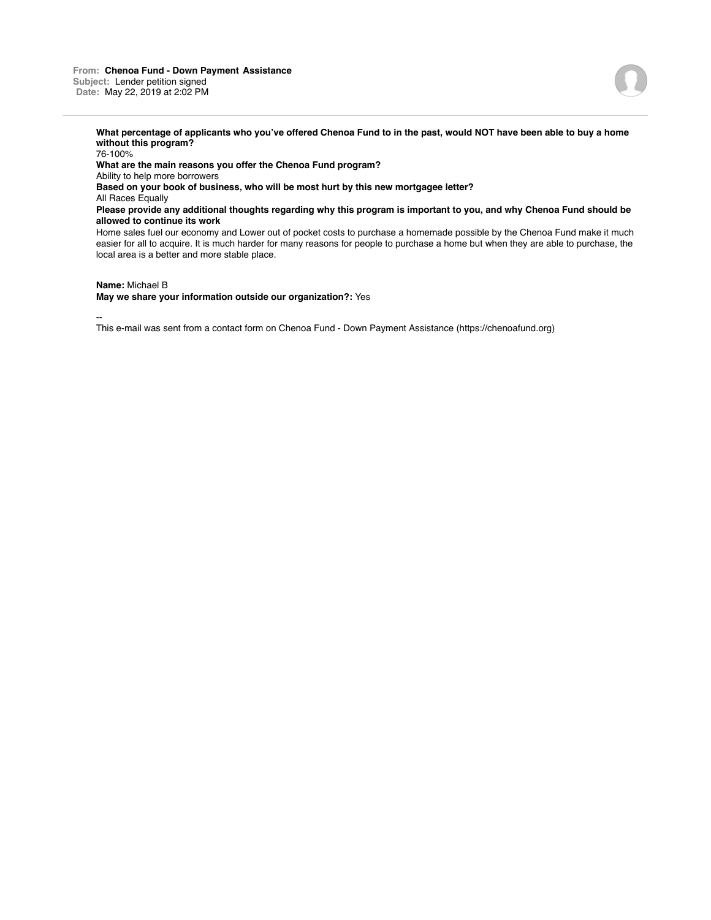76-100% **What are the main reasons you offer the Chenoa Fund program?** Ability to help more borrowers **Based on your book of business, who will be most hurt by this new mortgagee letter?** All Races Equally **Please provide any additional thoughts regarding why this program is important to you, and why Chenoa Fund should be allowed to continue its work** Home sales fuel our economy and Lower out of pocket costs to purchase a homemade possible by the Chenoa Fund make it much easier for all to acquire. It is much harder for many reasons for people to purchase a home but when they are able to purchase, the local area is a better and more stable place.

**Name:** Michael B

**May we share your information outside our organization?:** Yes

--